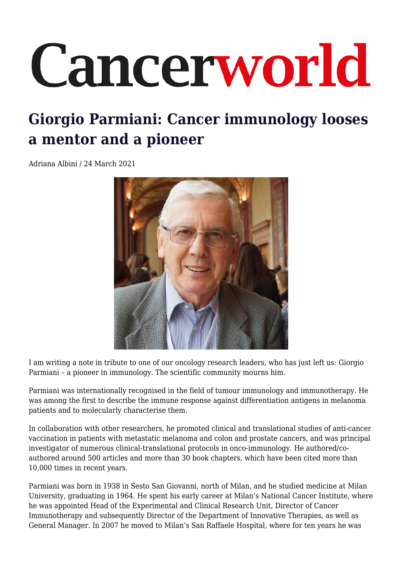## Cancerworld

## **Giorgio Parmiani: Cancer immunology looses a mentor and a pioneer**

Adriana Albini / 24 March 2021



I am writing a note in tribute to one of our oncology research leaders, who has just left us: Giorgio Parmiani – a pioneer in immunology. The scientific community mourns him.

Parmiani was internationally recognised in the field of tumour immunology and immunotherapy. He was among the first to describe the immune response against differentiation antigens in melanoma patients and to molecularly characterise them.

In collaboration with other researchers, he promoted clinical and translational studies of anti-cancer vaccination in patients with metastatic melanoma and colon and prostate cancers, and was principal investigator of numerous clinical-translational protocols in onco-immunology. He authored/coauthored around 500 articles and more than 30 book chapters, which have been cited more than 10,000 times in recent years.

Parmiani was born in 1938 in Sesto San Giovanni, north of Milan, and he studied medicine at Milan University, graduating in 1964. He spent his early career at Milan's National Cancer Institute, where he was appointed Head of the Experimental and Clinical Research Unit, Director of Cancer Immunotherapy and subsequently Director of the Department of Innovative Therapies, as well as General Manager. In 2007 he moved to Milan's San Raffaele Hospital, where for ten years he was